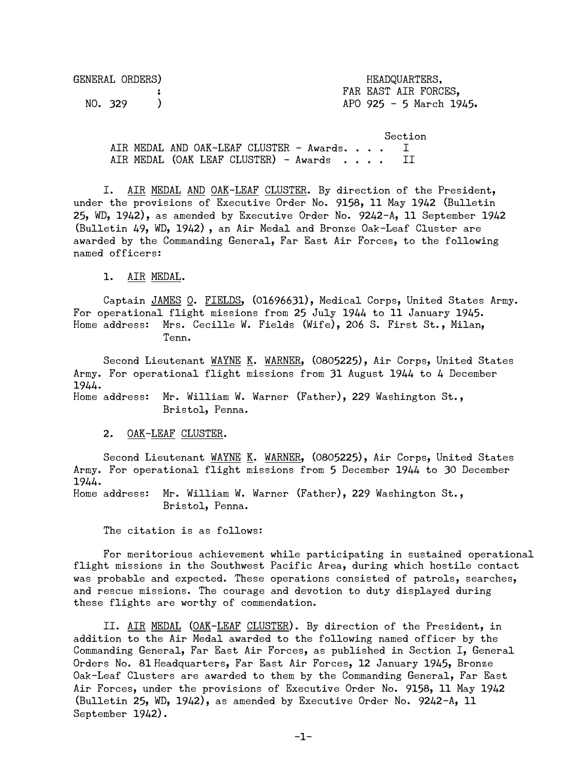| GENERAL ORDERS) | HEADQUARTERS.           |
|-----------------|-------------------------|
|                 | FAR EAST AIR FORCES,    |
| NO. 329         | APO 925 - 5 March 1945. |

 Section AIR MEDAL AND OAK-LEAF CLUSTER - Awards. . . . I AIR MEDAL (OAK LEAF CLUSTER) - Awards . . . . II

 I. AIR MEDAL AND OAK-LEAF CLUSTER. By direction of the President, under the provisions of Executive Order No. 9158, 11 May 1942 (Bulletin 25, WD, 1942), as amended by Executive Order No. 9242-A, 11 September 1942 (Bulletin 49, WD, 1942) , an Air Medal and Bronze Oak-Leaf Cluster are awarded by the Commanding General, Far East Air Forces, to the following named officers:

1. AIR MEDAL.

 Captain JAMES O. FIELDS, (01696631), Medical Corps, United States Army. For operational flight missions from 25 July 1944 to 11 January 1945. Home address: Mrs. Cecille W. Fields (Wife), 206 S. First St., Milan, Tenn.

Second Lieutenant WAYNE K. WARNER, (0805225), Air Corps, United States Army. For operational flight missions from 31 August 1944 to 4 December 1944.

Home address: Mr. William W. Warner (Father), 229 Washington St., Bristol, Penna.

2. OAK-LEAF CLUSTER.

Second Lieutenant WAYNE K. WARNER, (0805225), Air Corps, United States Army. For operational flight missions from 5 December 1944 to 30 December 1944.

Home address: Mr. William W. Warner (Father), 229 Washington St., Bristol, Penna.

The citation is as follows:

 For meritorious achievement while participating in sustained operational flight missions in the Southwest Pacific Area, during which hostile contact was probable and expected. These operations consisted of patrols, searches, and rescue missions. The courage and devotion to duty displayed during these flights are worthy of commendation.

 II. AIR MEDAL (OAK-LEAF CLUSTER). By direction of the President, in addition to the Air Medal awarded to the following named officer by the Commanding General, Far East Air Forces, as published in Section I, General Orders No. 81 Headquarters, Far East Air Forces, 12 January 1945, Bronze Oak-Leaf Clusters are awarded to them by the Commanding General, Far East Air Forces, under the provisions of Executive Order No. 9158, 11 May 1942 (Bulletin 25, WD, 1942), as amended by Executive Order No. 9242-A, 11 September 1942).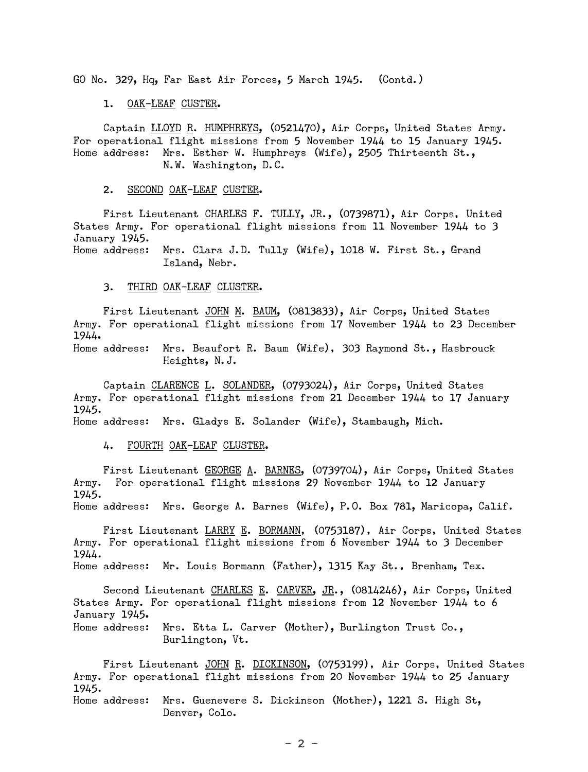GO No. 329, Hq, Far East Air Forces, 5 March 1945. (Contd.)

1. OAK-LEAF CUSTER.

 Captain LLOYD R. HUMPHREYS, (0521470), Air Corps, United States Army. For operational flight missions from 5 November 1944 to 15 January 1945. Home address: Mrs. Esther W. Humphreys (Wife), 2505 Thirteenth St., N.W. Washington, D.C.

2. SECOND OAK-LEAF CUSTER.

First Lieutenant CHARLES F. TULLY, JR., (0739871), Air Corps, United States Army. For operational flight missions from 11 November 1944 to 3 January 1945. Home address: Mrs. Clara J.D. Tully (Wife), 1018 W. First St., Grand

Island, Nebr.

3. THIRD OAK-LEAF CLUSTER.

 First Lieutenant JOHN M. BAUM, (0813833), Air Corps, United States Army. For operational flight missions from 17 November 1944 to 23 December 1944.

Home address: Mrs. Beaufort R. Baum (Wife), 303 Raymond St., Hasbrouck Heights, N.J.

 Captain CLARENCE L. SOLANDER, (0793024), Air Corps, United States Army. For operational flight missions from 21 December 1944 to 17 January 1945.

Home address: Mrs. Gladys E. Solander (Wife), Stambaugh, Mich.

4. FOURTH OAK-LEAF CLUSTER.

 First Lieutenant GEORGE A. BARNES, (0739704), Air Corps, United States Army. For operational flight missions 29 November 1944 to 12 January 1945.

Home address: Mrs. George A. Barnes (Wife), P.O. Box 781, Maricopa, Calif.

 First Lieutenant LARRY E. BORMANN, (0753187), Air Corps, United States Army. For operational flight missions from 6 November 1944 to 3 December 1944. Home address: Mr. Louis Bormann (Father), 1315 Kay St., Brenham, Tex.

Second Lieutenant CHARLES E. CARVER, JR., (0814246), Air Corps, United States Army. For operational flight missions from 12 November 1944 to 6 January 1945.

Home address: Mrs. Etta L. Carver (Mother), Burlington Trust Co., Burlington, Vt.

First Lieutenant JOHN R. DICKINSON, (0753199), Air Corps, United States Army. For operational flight missions from 20 November 1944 to 25 January 1945. Home address: Mrs. Guenevere S. Dickinson (Mother), 1221 S. High St, Denver, Colo.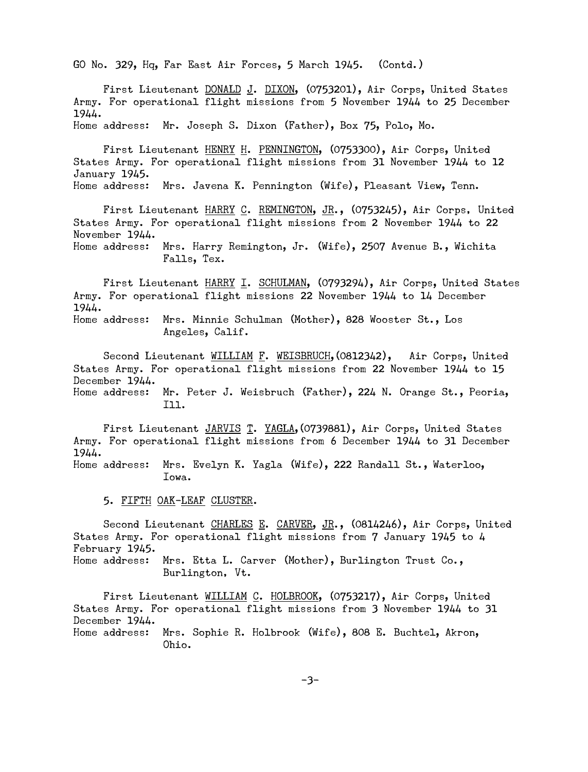GO No. 329, Hq, Far East Air Forces, 5 March 1945. (Contd.)

 First Lieutenant DONALD J. DIXON, (0753201), Air Corps, United States Army. For operational flight missions from 5 November 1944 to 25 December 1944.

Home address: Mr. Joseph S. Dixon (Father), Box 75, Polo, Mo.

 First Lieutenant HENRY H. PENNINGTON, (0753300), Air Corps, United States Army. For operational flight missions from 31 November 1944 to 12 January 1945.

Home address: Mrs. Javena K. Pennington (Wife), Pleasant View, Tenn.

First Lieutenant HARRY C. REMINGTON, JR., (0753245), Air Corps, United States Army. For operational flight missions from 2 November 1944 to 22 November 1944. Home address: Mrs. Harry Remington, Jr. (Wife), 2507 Avenue B., Wichita

Falls, Tex.

First Lieutenant HARRY I. SCHULMAN, (0793294), Air Corps, United States Army. For operational flight missions 22 November 1944 to 14 December 1944.

Home address: Mrs. Minnie Schulman (Mother), 828 Wooster St., Los Angeles, Calif.

Second Lieutenant WILLIAM F. WEISBRUCH, (0812342), Air Corps, United States Army. For operational flight missions from 22 November 1944 to 15 December 1944.

Home address: Mr. Peter J. Weisbruch (Father), 224 N. Orange St., Peoria, Ill.

 First Lieutenant JARVIS T. YAGLA,(0739881), Air Corps, United States Army. For operational flight missions from 6 December 1944 to 31 December 1944.

Home address: Mrs. Evelyn K. Yagla (Wife), 222 Randall St., Waterloo, Iowa.

5. FIFTH OAK-LEAF CLUSTER.

Second Lieutenant CHARLES E. CARVER, JR., (0814246), Air Corps, United States Army. For operational flight missions from 7 January 1945 to 4 February 1945.

Home address: Mrs. Etta L. Carver (Mother), Burlington Trust Co., Burlington, Vt.

First Lieutenant WILLIAM C. HOLBROOK, (0753217), Air Corps, United States Army. For operational flight missions from 3 November 1944 to 31 December 1944. Home address: Mrs. Sophie R. Holbrook (Wife), 808 E. Buchtel, Akron, Ohio.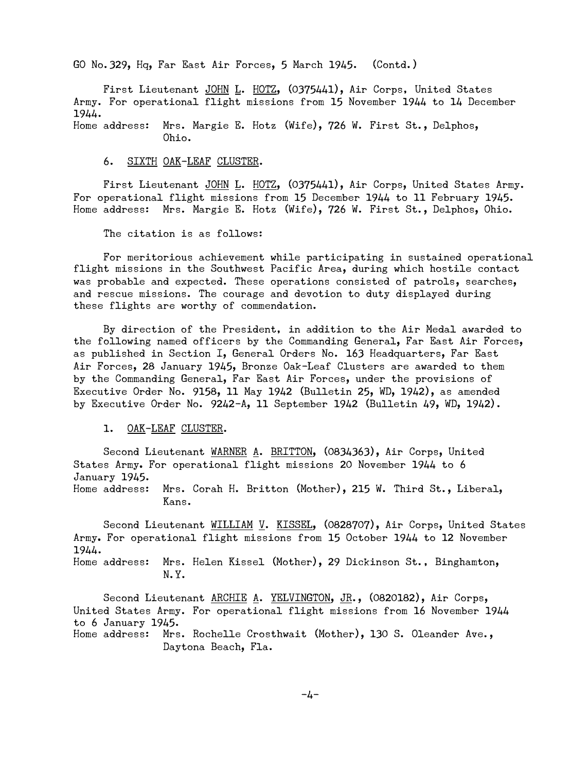GO No.329, Hq, Far East Air Forces, 5 March 1945. (Contd.)

 First Lieutenant JOHN L. HOTZ, (0375441), Air Corps, United States Army. For operational flight missions from 15 November 1944 to 14 December 1944.

Home address: Mrs. Margie E. Hotz (Wife), 726 W. First St., Delphos, Ohio.

## 6. SIXTH OAK-LEAF CLUSTER.

First Lieutenant JOHN L. HOTZ, (0375441), Air Corps, United States Army. For operational flight missions from 15 December 1944 to 11 February 1945. Home address: Mrs. Margie E. Hotz (Wife), 726 W. First St., Delphos, Ohio.

The citation is as follows:

 For meritorious achievement while participating in sustained operational flight missions in the Southwest Pacific Area, during which hostile contact was probable and expected. These operations consisted of patrols, searches, and rescue missions. The courage and devotion to duty displayed during these flights are worthy of commendation.

 By direction of the President, in addition to the Air Medal awarded to the following named officers by the Commanding General, Far East Air Forces, as published in Section I, General Orders No. 163 Headquarters, Far East Air Forces, 28 January 1945, Bronze Oak-Leaf Clusters are awarded to them by the Commanding General, Far East Air Forces, under the provisions of Executive Order No. 9158, 11 May 1942 (Bulletin 25, WD, 1942), as amended by Executive Order No. 9242-A, 11 September 1942 (Bulletin 49, WD, 1942).

1. OAK-LEAF CLUSTER.

 Second Lieutenant WARNER A. BRITTON, (0834363), Air Corps, United States Army. For operational flight missions 20 November 1944 to 6 January 1945. Home address: Mrs. Corah H. Britton (Mother), 215 W. Third St., Liberal, Kans.

Second Lieutenant <u>WILLIAM V</u>. KISSEL, (0828707), Air Corps, United States Army. For operational flight missions from 15 October 1944 to 12 November 1944.

Home address: Mrs. Helen Kissel (Mother), 29 Dickinson St., Binghamton, N.Y.

Second Lieutenant ARCHIE A. YELVINGTON, JR., (0820182), Air Corps, United States Army. For operational flight missions from 16 November 1944 to 6 January 1945. Home address: Mrs. Rochelle Crosthwait (Mother), 130 S. Oleander Ave., Daytona Beach, Fla.